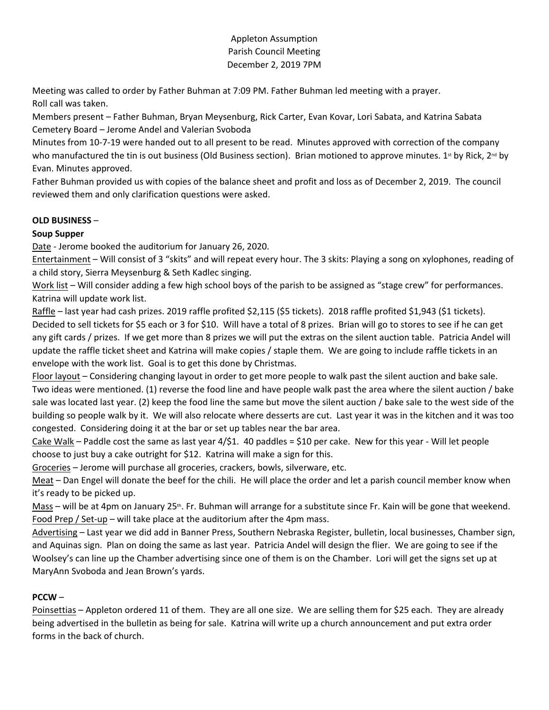# Appleton Assumption Parish Council Meeting December 2, 2019 7PM

Meeting was called to order by Father Buhman at 7:09 PM. Father Buhman led meeting with a prayer. Roll call was taken.

Members present – Father Buhman, Bryan Meysenburg, Rick Carter, Evan Kovar, Lori Sabata, and Katrina Sabata Cemetery Board – Jerome Andel and Valerian Svoboda

Minutes from 10-7-19 were handed out to all present to be read. Minutes approved with correction of the company who manufactured the tin is out business (Old Business section). Brian motioned to approve minutes. 1<sup>st</sup> by Rick, 2<sup>nd</sup> by Evan. Minutes approved.

Father Buhman provided us with copies of the balance sheet and profit and loss as of December 2, 2019. The council reviewed them and only clarification questions were asked.

## **OLD BUSINESS** –

### **Soup Supper**

Date - Jerome booked the auditorium for January 26, 2020.

Entertainment – Will consist of 3 "skits" and will repeat every hour. The 3 skits: Playing a song on xylophones, reading of a child story, Sierra Meysenburg & Seth Kadlec singing.

Work list – Will consider adding a few high school boys of the parish to be assigned as "stage crew" for performances. Katrina will update work list.

Raffle – last year had cash prizes. 2019 raffle profited \$2,115 (\$5 tickets). 2018 raffle profited \$1,943 (\$1 tickets). Decided to sell tickets for \$5 each or 3 for \$10. Will have a total of 8 prizes. Brian will go to stores to see if he can get any gift cards / prizes. If we get more than 8 prizes we will put the extras on the silent auction table. Patricia Andel will update the raffle ticket sheet and Katrina will make copies / staple them. We are going to include raffle tickets in an envelope with the work list. Goal is to get this done by Christmas.

Floor layout – Considering changing layout in order to get more people to walk past the silent auction and bake sale. Two ideas were mentioned. (1) reverse the food line and have people walk past the area where the silent auction / bake sale was located last year. (2) keep the food line the same but move the silent auction / bake sale to the west side of the building so people walk by it. We will also relocate where desserts are cut. Last year it was in the kitchen and it was too congested. Considering doing it at the bar or set up tables near the bar area.

Cake Walk – Paddle cost the same as last year 4/\$1. 40 paddles = \$10 per cake. New for this year - Will let people choose to just buy a cake outright for \$12. Katrina will make a sign for this.

Groceries – Jerome will purchase all groceries, crackers, bowls, silverware, etc.

Meat – Dan Engel will donate the beef for the chili. He will place the order and let a parish council member know when it's ready to be picked up.

Mass – will be at 4pm on January 25<sup>th</sup>. Fr. Buhman will arrange for a substitute since Fr. Kain will be gone that weekend. Food Prep / Set-up – will take place at the auditorium after the 4pm mass.

Advertising – Last year we did add in Banner Press, Southern Nebraska Register, bulletin, local businesses, Chamber sign, and Aquinas sign. Plan on doing the same as last year. Patricia Andel will design the flier. We are going to see if the Woolsey's can line up the Chamber advertising since one of them is on the Chamber. Lori will get the signs set up at MaryAnn Svoboda and Jean Brown's yards.

**PCCW** –<br>Poinsettias – Appleton ordered 11 of them. They are all one size. We are selling them for \$25 each. They are already being advertised in the bulletin as being for sale. Katrina will write up a church announcement and put extra order forms in the back of church.